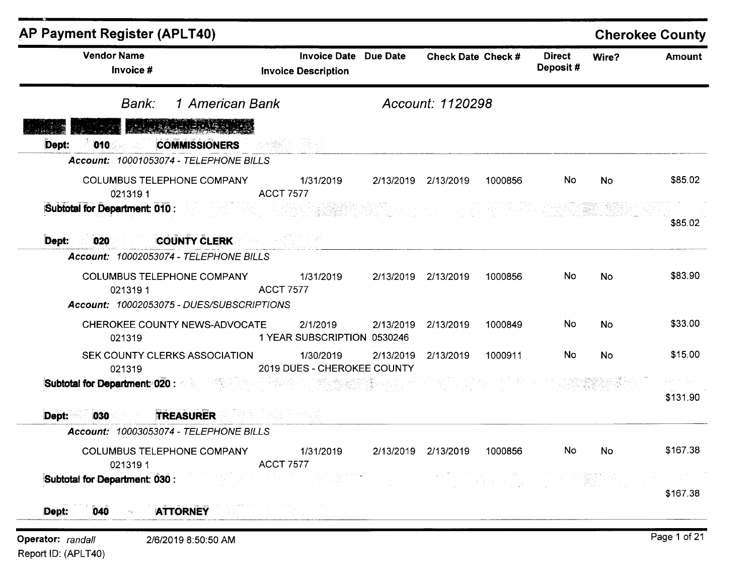| <b>AP Payment Register (APLT40)</b><br><b>Vendor Name</b><br>Invoice #                                                                                                                                                              | <b>Invoice Date Due Date</b><br><b>Invoice Description</b> |           | Check Date Check #  |         | <b>Direct</b><br>Deposit# | Wire?     | <b>Cherokee County</b><br><b>Amount</b> |
|-------------------------------------------------------------------------------------------------------------------------------------------------------------------------------------------------------------------------------------|------------------------------------------------------------|-----------|---------------------|---------|---------------------------|-----------|-----------------------------------------|
| 1 American Bank<br>Bank:                                                                                                                                                                                                            |                                                            |           | Account: 1120298    |         |                           |           |                                         |
| Alistician de la propiedad<br><b>COMMISSIONERS</b><br>Dept:<br>010                                                                                                                                                                  | - 이 12 달라 한 동안 20                                          |           |                     |         |                           |           |                                         |
| Account: 10001053074 - TELEPHONE BILLS<br>COLUMBUS TELEPHONE COMPANY 1/31/2019<br><b>ACCT 7577</b><br>0213191                                                                                                                       |                                                            |           | 2/13/2019 2/13/2019 | 1000856 | No.                       | No.       | \$85.02                                 |
| <b>Subtotal for Department: 010 :</b> The contract of the contract of the contract of the contract of the contract of the contract of the contract of the contract of the contract of the contract of the contract of the contract  |                                                            |           |                     |         |                           |           | \$85.02                                 |
| 020 COUNTY CLERK COUNTY ON THE RESERVE AND THE RESERVE AND THE RESERVE OF THE RESERVE AND THE RESERVE AND THE<br>Dept:<br>Account: 10002053074 - TELEPHONE BILLS                                                                    |                                                            |           |                     |         |                           |           |                                         |
| COLUMBUS TELEPHONE COMPANY 1/31/2019 2/13/2019 2/13/2019<br>0213191<br>Account: 10002053075 - DUES/SUBSCRIPTIONS                                                                                                                    | <b>ACCT 7577</b>                                           |           |                     | 1000856 | No.                       | No        | \$83.90                                 |
| CHEROKEE COUNTY NEWS-ADVOCATE<br>021319                                                                                                                                                                                             | 2/1/2019<br>1 YEAR SUBSCRIPTION 0530246                    | 2/13/2019 | 2/13/2019           | 1000849 | No                        | <b>No</b> | \$33.00                                 |
| SEK COUNTY CLERKS ASSOCIATION<br>021319                                                                                                                                                                                             | 1/30/2019<br>2019 DUES - CHEROKEE COUNTY                   | 2/13/2019 | 2/13/2019           | 1000911 | No.                       | No        | \$15.00                                 |
| <b>Subtotal for Department: 020 :</b> All and the state of the state of the state of the state of the state of the state of the state of the state of the state of the state of the state of the state of the state of the state of |                                                            |           |                     |         |                           |           | Den Storberg<br>\$131.90                |
| <b>TREASURER AND READER</b><br>Dept:<br>$030$ and $0.000$<br>Account: 10003053074 - TELEPHONE BILLS                                                                                                                                 |                                                            |           |                     |         |                           |           |                                         |
| COLUMBUS TELEPHONE COMPANY 1/31/2019 2/13/2019 2/13/2019 1000856<br>0213191                                                                                                                                                         | <b>ACCT 7577</b>                                           |           |                     |         | <b>Example 19</b>         | <b>No</b> | \$167.38                                |
| Subtotal for Department: 030 :                                                                                                                                                                                                      |                                                            |           |                     |         |                           |           | \$167.38                                |
| <b>ATTORNEY</b><br>040<br>Dept:                                                                                                                                                                                                     |                                                            |           |                     |         |                           |           |                                         |

Report ID: (APLT40)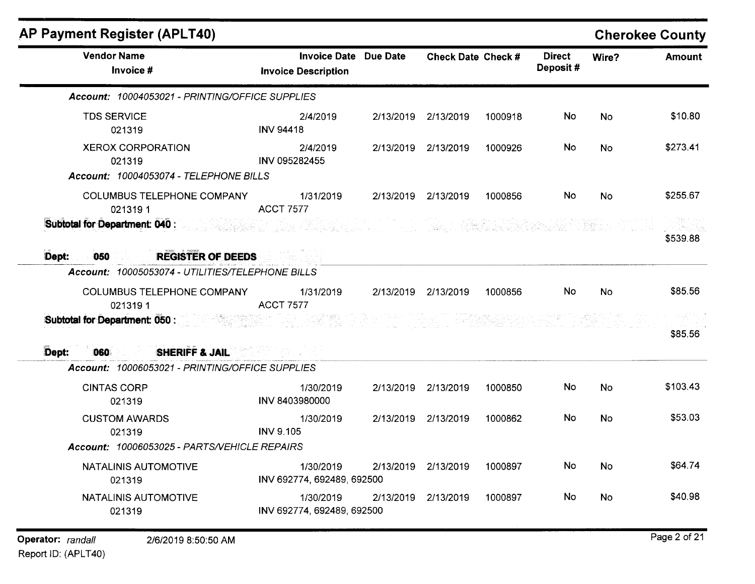| <b>AP Payment Register (APLT40)</b>              |                                                            |                           |         |                           |           | <b>Cherokee County</b> |
|--------------------------------------------------|------------------------------------------------------------|---------------------------|---------|---------------------------|-----------|------------------------|
| <b>Vendor Name</b><br>Invoice #                  | <b>Invoice Date Due Date</b><br><b>Invoice Description</b> | <b>Check Date Check #</b> |         | <b>Direct</b><br>Deposit# | Wire?     | <b>Amount</b>          |
| Account: 10004053021 - PRINTING/OFFICE SUPPLIES  |                                                            |                           |         |                           |           |                        |
| <b>TDS SERVICE</b><br>021319                     | 2/4/2019<br><b>INV 94418</b>                               | 2/13/2019 2/13/2019       | 1000918 | No                        | <b>No</b> | \$10.80                |
| <b>XEROX CORPORATION</b><br>021319               | 2/4/2019<br>INV 095282455                                  | 2/13/2019 2/13/2019       | 1000926 | No                        | <b>No</b> | \$273.41               |
| Account: 10004053074 - TELEPHONE BILLS           |                                                            |                           |         |                           |           |                        |
| COLUMBUS TELEPHONE COMPANY<br>0213191            | 1/31/2019<br><b>ACCT 7577</b>                              | 2/13/2019 2/13/2019       | 1000856 | No.                       | <b>No</b> | \$255.67               |
| Subtotal for Department: 040 :                   |                                                            |                           |         |                           |           | \$539.88               |
| <b>REGISTER OF DEEDS</b><br>Dept:<br>050         |                                                            |                           |         |                           |           |                        |
| Account: 10005053074 - UTILITIES/TELEPHONE BILLS |                                                            |                           |         |                           |           |                        |
| COLUMBUS TELEPHONE COMPANY<br>0213191            | 1/31/2019<br><b>ACCT 7577</b>                              | 2/13/2019 2/13/2019       | 1000856 | No                        | <b>No</b> | \$85.56                |
| <b>Subtotal for Department: 050:</b>             |                                                            |                           |         |                           |           | \$85.56                |
| SHERIFF & JAIL<br>Dept:<br><b>060</b>            |                                                            |                           |         |                           |           |                        |
| Account: 10006053021 - PRINTING/OFFICE SUPPLIES  |                                                            |                           |         |                           |           |                        |
| <b>CINTAS CORP</b><br>021319                     | 1/30/2019<br>INV 8403980000                                | 2/13/2019 2/13/2019       | 1000850 | No                        | No        | \$103.43               |
| <b>CUSTOM AWARDS</b><br>021319                   | 1/30/2019<br><b>INV 9.105</b>                              | 2/13/2019 2/13/2019       | 1000862 | No                        | <b>No</b> | \$53.03                |
| Account: 10006053025 - PARTS/VEHICLE REPAIRS     |                                                            |                           |         |                           |           |                        |
| NATALINIS AUTOMOTIVE<br>021319                   | 1/30/2019<br>INV 692774, 692489, 692500                    | 2/13/2019 2/13/2019       | 1000897 | No                        | No        | \$64.74                |
| NATALINIS AUTOMOTIVE<br>021319                   | 1/30/2019<br>INV 692774, 692489, 692500                    | 2/13/2019 2/13/2019       | 1000897 | No                        | No        | \$40.98                |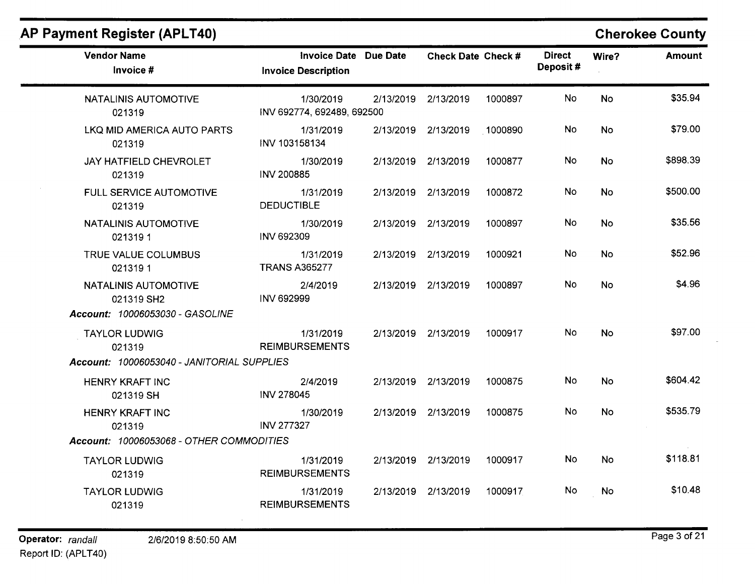| <b>Vendor Name</b><br>Invoice #                                       | Invoice Date Due Date<br><b>Invoice Description</b> | <b>Check Date Check #</b> |         | <b>Direct</b><br>Deposit# | Wire?     | <b>Amount</b> |
|-----------------------------------------------------------------------|-----------------------------------------------------|---------------------------|---------|---------------------------|-----------|---------------|
| NATALINIS AUTOMOTIVE<br>021319                                        | 1/30/2019<br>INV 692774, 692489, 692500             | 2/13/2019 2/13/2019       | 1000897 | No                        | <b>No</b> | \$35.94       |
| LKQ MID AMERICA AUTO PARTS<br>021319                                  | 1/31/2019<br>INV 103158134                          | 2/13/2019 2/13/2019       | 1000890 | <b>No</b>                 | No        | \$79.00       |
| JAY HATFIELD CHEVROLET<br>021319                                      | 1/30/2019<br><b>INV 200885</b>                      | 2/13/2019 2/13/2019       | 1000877 | No                        | <b>No</b> | \$898.39      |
| FULL SERVICE AUTOMOTIVE<br>021319                                     | 1/31/2019<br><b>DEDUCTIBLE</b>                      | 2/13/2019 2/13/2019       | 1000872 | <b>No</b>                 | <b>No</b> | \$500.00      |
| NATALINIS AUTOMOTIVE<br>0213191                                       | 1/30/2019<br>INV 692309                             | 2/13/2019 2/13/2019       | 1000897 | No                        | <b>No</b> | \$35.56       |
| TRUE VALUE COLUMBUS<br>0213191                                        | 1/31/2019<br><b>TRANS A365277</b>                   | 2/13/2019 2/13/2019       | 1000921 | No.                       | <b>No</b> | \$52.96       |
| NATALINIS AUTOMOTIVE<br>021319 SH2<br>Account: 10006053030 - GASOLINE | 2/4/2019<br><b>INV 692999</b>                       | 2/13/2019 2/13/2019       | 1000897 | No                        | <b>No</b> | \$4.96        |
| <b>TAYLOR LUDWIG</b><br>021319                                        | 1/31/2019<br><b>REIMBURSEMENTS</b>                  | 2/13/2019 2/13/2019       | 1000917 | No                        | <b>No</b> | \$97.00       |
| Account: 10006053040 - JANITORIAL SUPPLIES                            |                                                     |                           |         |                           |           |               |
| <b>HENRY KRAFT INC</b><br>021319 SH                                   | 2/4/2019<br><b>INV 278045</b>                       | 2/13/2019 2/13/2019       | 1000875 | <b>No</b>                 | No        | \$604.42      |
| <b>HENRY KRAFT INC</b><br>021319                                      | 1/30/2019<br><b>INV 277327</b>                      | 2/13/2019 2/13/2019       | 1000875 | No.                       | <b>No</b> | \$535.79      |
| Account: 10006053068 - OTHER COMMODITIES                              |                                                     |                           |         |                           |           |               |
| <b>TAYLOR LUDWIG</b><br>021319                                        | 1/31/2019<br><b>REIMBURSEMENTS</b>                  | 2/13/2019 2/13/2019       | 1000917 | No.                       | <b>No</b> | \$118.81      |
| <b>TAYLOR LUDWIG</b><br>021319                                        | 1/31/2019<br><b>REIMBURSEMENTS</b>                  | 2/13/2019 2/13/2019       | 1000917 | No                        | No        | \$10.48       |

#### **AP Payment Register (APLT40) Cherokee County**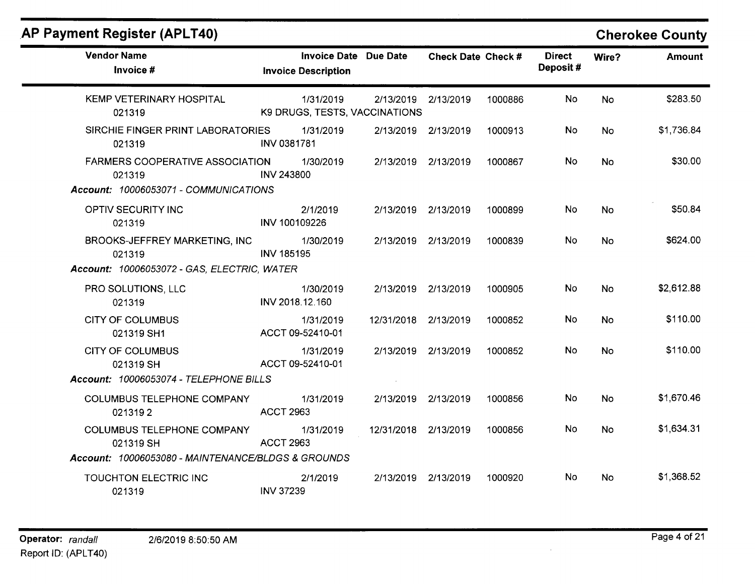# **AP Payment Register (APLT40)**

### **Cherokee County**

| <b>Vendor Name</b><br>Invoice #                    | <b>Invoice Date Due Date</b><br><b>Invoice Description</b> |                      | <b>Check Date Check #</b> |         | <b>Direct</b><br>Deposit# | Wire?     | <b>Amount</b> |
|----------------------------------------------------|------------------------------------------------------------|----------------------|---------------------------|---------|---------------------------|-----------|---------------|
| KEMP VETERINARY HOSPITAL<br>021319                 | 1/31/2019<br>K9 DRUGS, TESTS, VACCINATIONS                 | 2/13/2019 2/13/2019  |                           | 1000886 | No                        | <b>No</b> | \$283.50      |
| SIRCHIE FINGER PRINT LABORATORIES<br>021319        | 1/31/2019<br>INV 0381781                                   | 2/13/2019 2/13/2019  |                           | 1000913 | No.                       | <b>No</b> | \$1,736.84    |
| <b>FARMERS COOPERATIVE ASSOCIATION</b><br>021319   | 1/30/2019<br><b>INV 243800</b>                             | 2/13/2019 2/13/2019  |                           | 1000867 | No                        | <b>No</b> | \$30.00       |
| Account: 10006053071 - COMMUNICATIONS              |                                                            |                      |                           |         |                           |           |               |
| OPTIV SECURITY INC<br>021319                       | 2/1/2019<br>INV 100109226                                  | 2/13/2019 2/13/2019  |                           | 1000899 | No                        | <b>No</b> | \$50.84       |
| <b>BROOKS-JEFFREY MARKETING, INC</b><br>021319     | 1/30/2019<br><b>INV 185195</b>                             | 2/13/2019 2/13/2019  |                           | 1000839 | No                        | <b>No</b> | \$624.00      |
| Account: 10006053072 - GAS, ELECTRIC, WATER        |                                                            |                      |                           |         |                           |           |               |
| PRO SOLUTIONS, LLC<br>021319                       | 1/30/2019<br>INV 2018.12.160                               | 2/13/2019 2/13/2019  |                           | 1000905 | <b>No</b>                 | No        | \$2,612.88    |
| <b>CITY OF COLUMBUS</b><br>021319 SH1              | 1/31/2019<br>ACCT 09-52410-01                              | 12/31/2018 2/13/2019 |                           | 1000852 | No.                       | <b>No</b> | \$110.00      |
| <b>CITY OF COLUMBUS</b><br>021319 SH               | 1/31/2019<br>ACCT 09-52410-01                              | 2/13/2019 2/13/2019  |                           | 1000852 | <b>No</b>                 | <b>No</b> | \$110.00      |
| Account: 10006053074 - TELEPHONE BILLS             |                                                            |                      |                           |         |                           |           |               |
| <b>COLUMBUS TELEPHONE COMPANY</b><br>0213192       | 1/31/2019<br><b>ACCT 2963</b>                              | 2/13/2019 2/13/2019  |                           | 1000856 | No.                       | <b>No</b> | \$1,670.46    |
| <b>COLUMBUS TELEPHONE COMPANY</b><br>021319 SH     | 1/31/2019<br><b>ACCT 2963</b>                              | 12/31/2018 2/13/2019 |                           | 1000856 | <b>No</b>                 | <b>No</b> | \$1,634.31    |
| Account: 10006053080 - MAINTENANCE/BLDGS & GROUNDS |                                                            |                      |                           |         |                           |           |               |
| TOUCHTON ELECTRIC INC<br>021319                    | 2/1/2019<br><b>INV 37239</b>                               | 2/13/2019 2/13/2019  |                           | 1000920 | No.                       | <b>No</b> | \$1,368.52    |

 $\sim$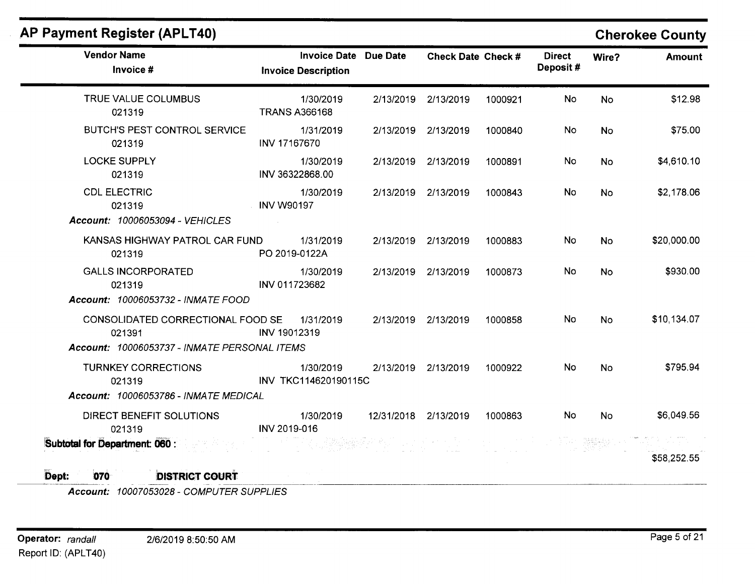| <b>Vendor Name</b><br>Invoice #                                                             | <b>Invoice Date Due Date</b><br><b>Invoice Description</b> |                      | Check Date Check #  |         | <b>Direct</b><br>Deposit# | Wire?     | <b>Amount</b> |
|---------------------------------------------------------------------------------------------|------------------------------------------------------------|----------------------|---------------------|---------|---------------------------|-----------|---------------|
| TRUE VALUE COLUMBUS<br>021319                                                               | 1/30/2019<br><b>TRANS A366168</b>                          |                      | 2/13/2019 2/13/2019 | 1000921 | <b>No</b>                 | <b>No</b> | \$12.98       |
| <b>BUTCH'S PEST CONTROL SERVICE</b><br>021319                                               | 1/31/2019<br>INV 17167670                                  |                      | 2/13/2019 2/13/2019 | 1000840 | No                        | <b>No</b> | \$75.00       |
| <b>LOCKE SUPPLY</b><br>021319                                                               | 1/30/2019<br>INV 36322868.00                               |                      | 2/13/2019 2/13/2019 | 1000891 | No                        | <b>No</b> | \$4,610.10    |
| <b>CDL ELECTRIC</b><br>021319<br>Account: 10006053094 - VEHICLES                            | 1/30/2019<br><b>INV W90197</b>                             |                      | 2/13/2019 2/13/2019 | 1000843 | <b>No</b>                 | <b>No</b> | \$2,178.06    |
| KANSAS HIGHWAY PATROL CAR FUND<br>021319                                                    | 1/31/2019<br>PO 2019-0122A                                 |                      | 2/13/2019 2/13/2019 | 1000883 | <b>No</b>                 | <b>No</b> | \$20,000.00   |
| <b>GALLS INCORPORATED</b><br>021319<br>Account: 10006053732 - INMATE FOOD                   | 1/30/2019<br>INV 011723682                                 |                      | 2/13/2019 2/13/2019 | 1000873 | <b>No</b>                 | <b>No</b> | \$930.00      |
| CONSOLIDATED CORRECTIONAL FOOD SE<br>021391<br>Account: 10006053737 - INMATE PERSONAL ITEMS | 1/31/2019<br>INV 19012319                                  |                      | 2/13/2019 2/13/2019 | 1000858 | No                        | <b>No</b> | \$10,134.07   |
| <b>TURNKEY CORRECTIONS</b><br>021319<br><b>Account: 10006053786 - INMATE MEDICAL</b>        | 1/30/2019<br>INV TKC114620190115C                          |                      | 2/13/2019 2/13/2019 | 1000922 | <b>No</b>                 | No        | \$795.94      |
| DIRECT BENEFIT SOLUTIONS<br>021319                                                          | 1/30/2019<br>INV 2019-016                                  | 12/31/2018 2/13/2019 |                     | 1000863 | No                        | <b>No</b> | \$6,049.56    |
| <b>Subtotal for Department: 060 :</b>                                                       |                                                            |                      |                     |         |                           |           | \$58,252.55   |

Account: 10007053028 - COMPUTER SUPPLIES

AP Payment Register (APLT40)

Cherokee County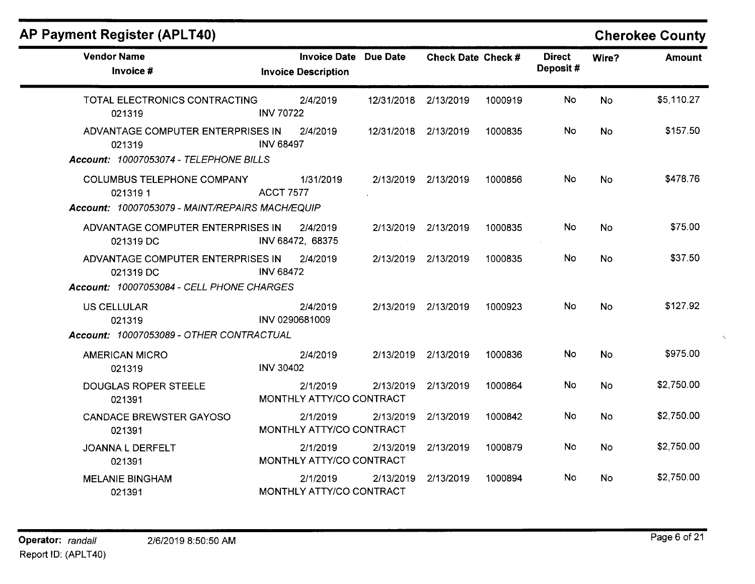# **AP Payment Register (APLT40)**

# **Cherokee County**

| <b>Vendor Name</b><br>Invoice #                                                                 | <b>Invoice Date Due Date</b><br><b>Invoice Description</b> |                      | Check Date Check #  |         | <b>Direct</b><br>Deposit# | Wire?     | <b>Amount</b> |
|-------------------------------------------------------------------------------------------------|------------------------------------------------------------|----------------------|---------------------|---------|---------------------------|-----------|---------------|
| TOTAL ELECTRONICS CONTRACTING<br>021319                                                         | 2/4/2019<br><b>INV 70722</b>                               | 12/31/2018 2/13/2019 |                     | 1000919 | No                        | <b>No</b> | \$5,110.27    |
| ADVANTAGE COMPUTER ENTERPRISES IN<br>021319<br>Account: 10007053074 - TELEPHONE BILLS           | 2/4/2019<br><b>INV 68497</b>                               | 12/31/2018 2/13/2019 |                     | 1000835 | No.                       | No.       | \$157.50      |
| <b>COLUMBUS TELEPHONE COMPANY</b><br>0213191<br>Account: 10007053079 - MAINT/REPAIRS MACH/EQUIP | 1/31/2019<br><b>ACCT 7577</b>                              |                      | 2/13/2019 2/13/2019 | 1000856 | No.                       | <b>No</b> | \$478.76      |
| ADVANTAGE COMPUTER ENTERPRISES IN<br>021319 DC                                                  | 2/4/2019<br>INV 68472, 68375                               |                      | 2/13/2019 2/13/2019 | 1000835 | No                        | <b>No</b> | \$75.00       |
| ADVANTAGE COMPUTER ENTERPRISES IN<br>021319 DC<br>Account: 10007053084 - CELL PHONE CHARGES     | 2/4/2019<br><b>INV 68472</b>                               |                      | 2/13/2019 2/13/2019 | 1000835 | No                        | <b>No</b> | \$37.50       |
| <b>US CELLULAR</b><br>021319<br>Account: 10007053089 - OTHER CONTRACTUAL                        | 2/4/2019<br>INV 0290681009                                 |                      | 2/13/2019 2/13/2019 | 1000923 | <b>No</b>                 | <b>No</b> | \$127.92      |
| <b>AMERICAN MICRO</b><br>021319                                                                 | 2/4/2019<br><b>INV 30402</b>                               |                      | 2/13/2019 2/13/2019 | 1000836 | No                        | <b>No</b> | \$975.00      |
| <b>DOUGLAS ROPER STEELE</b><br>021391                                                           | 2/1/2019<br>MONTHLY ATTY/CO CONTRACT                       | 2/13/2019            | 2/13/2019           | 1000864 | <b>No</b>                 | <b>No</b> | \$2,750.00    |
| <b>CANDACE BREWSTER GAYOSO</b><br>021391                                                        | 2/1/2019<br>MONTHLY ATTY/CO CONTRACT                       | 2/13/2019            | 2/13/2019           | 1000842 | No                        | <b>No</b> | \$2,750.00    |
| JOANNA L DERFELT<br>021391                                                                      | 2/1/2019<br>MONTHLY ATTY/CO CONTRACT                       | 2/13/2019            | 2/13/2019           | 1000879 | No                        | <b>No</b> | \$2,750.00    |
| <b>MELANIE BINGHAM</b><br>021391                                                                | 2/1/2019<br>MONTHLY ATTY/CO CONTRACT                       | 2/13/2019            | 2/13/2019           | 1000894 | No.                       | No        | \$2,750.00    |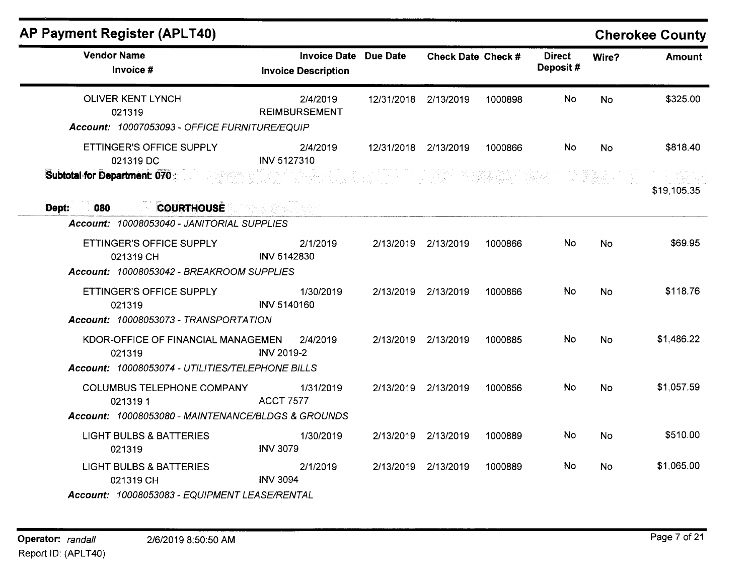|                                                                                                                         |                                                                                             |                       |                                                                                                                                                                                        |                           |           | <b>Cherokee County</b> |
|-------------------------------------------------------------------------------------------------------------------------|---------------------------------------------------------------------------------------------|-----------------------|----------------------------------------------------------------------------------------------------------------------------------------------------------------------------------------|---------------------------|-----------|------------------------|
| <b>Invoice Description</b>                                                                                              |                                                                                             |                       |                                                                                                                                                                                        | <b>Direct</b><br>Deposit# | Wire?     | <b>Amount</b>          |
| 2/4/2019<br><b>REIMBURSEMENT</b>                                                                                        |                                                                                             |                       | 1000898                                                                                                                                                                                | No                        | <b>No</b> | \$325.00               |
| 2/4/2019<br><b>INV 5127310</b>                                                                                          |                                                                                             |                       | 1000866                                                                                                                                                                                | No                        | <b>No</b> | \$818.40               |
|                                                                                                                         |                                                                                             |                       |                                                                                                                                                                                        |                           |           | \$19,105.35            |
| 2/1/2019<br>INV 5142830<br>Account: 10008053042 - BREAKROOM SUPPLIES                                                    |                                                                                             |                       | 1000866                                                                                                                                                                                | No.                       | <b>No</b> | \$69.95                |
| 1/30/2019<br><b>INV 5140160</b><br>Account: 10008053073 - TRANSPORTATION                                                |                                                                                             |                       | 1000866                                                                                                                                                                                | No                        | <b>No</b> | \$118.76               |
| KDOR-OFFICE OF FINANCIAL MANAGEMEN<br>2/4/2019<br><b>INV 2019-2</b><br>Account: 10008053074 - UTILITIES/TELEPHONE BILLS |                                                                                             |                       | 1000885                                                                                                                                                                                | No                        | <b>No</b> | \$1,486.22             |
| 1/31/2019<br><b>ACCT 7577</b><br>Account: 10008053080 - MAINTENANCE/BLDGS & GROUNDS                                     |                                                                                             |                       | 1000856                                                                                                                                                                                | No                        | <b>No</b> | \$1,057.59             |
| 1/30/2019<br><b>INV 3079</b>                                                                                            |                                                                                             |                       | 1000889                                                                                                                                                                                | No                        | <b>No</b> | \$510.00               |
| 2/1/2019<br><b>INV 3094</b><br>Account: 10008053083 - EQUIPMENT LEASE/RENTAL                                            |                                                                                             |                       | 1000889                                                                                                                                                                                | No                        | <b>No</b> | \$1,065.00             |
|                                                                                                                         | Account: 10007053093 - OFFICE FURNITURE/EQUIP<br>Account: 10008053040 - JANITORIAL SUPPLIES | Invoice Date Due Date | 12/31/2018 2/13/2019<br>12/31/2018 2/13/2019<br>2/13/2019 2/13/2019<br>2/13/2019 2/13/2019<br>2/13/2019 2/13/2019<br>2/13/2019 2/13/2019<br>2/13/2019 2/13/2019<br>2/13/2019 2/13/2019 | Check Date Check #        |           |                        |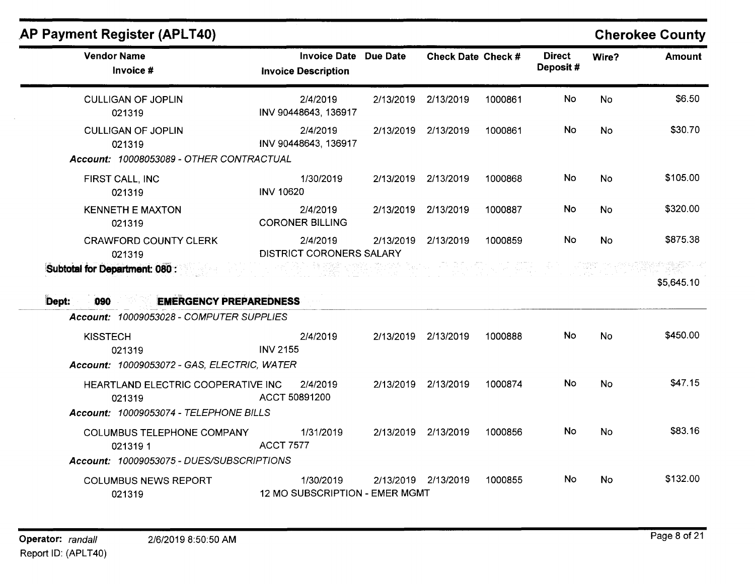| <b>Vendor Name</b><br>Invoice #                                                  | <b>Invoice Date</b><br><b>Invoice Description</b> | <b>Due Date</b> | Check Date Check #  |         | <b>Direct</b><br>Deposit# | Wire?     | <b>Amount</b> |
|----------------------------------------------------------------------------------|---------------------------------------------------|-----------------|---------------------|---------|---------------------------|-----------|---------------|
| <b>CULLIGAN OF JOPLIN</b><br>021319                                              | 2/4/2019<br>INV 90448643, 136917                  | 2/13/2019       | 2/13/2019           | 1000861 | No                        | <b>No</b> | \$6.50        |
| <b>CULLIGAN OF JOPLIN</b><br>021319<br>Account: 10008053089 - OTHER CONTRACTUAL  | 2/4/2019<br>INV 90448643, 136917                  | 2/13/2019       | 2/13/2019           | 1000861 | No                        | No        | \$30.70       |
| FIRST CALL, INC<br>021319                                                        | 1/30/2019<br><b>INV 10620</b>                     | 2/13/2019       | 2/13/2019           | 1000868 | No                        | <b>No</b> | \$105.00      |
| <b>KENNETH E MAXTON</b><br>021319                                                | 2/4/2019<br><b>CORONER BILLING</b>                | 2/13/2019       | 2/13/2019           | 1000887 | <b>No</b>                 | <b>No</b> | \$320.00      |
| <b>CRAWFORD COUNTY CLERK</b><br>021319<br>Subtotal for Department: 080 :         | 2/4/2019<br><b>DISTRICT CORONERS SALARY</b>       | 2/13/2019       | 2/13/2019           | 1000859 | No                        | <b>No</b> | \$875.38      |
|                                                                                  |                                                   |                 |                     |         |                           |           |               |
| <b>EMERGENCY PREPAREDNESS</b><br>090<br>Account: 10009053028 - COMPUTER SUPPLIES |                                                   |                 |                     |         |                           |           | \$5,645.10    |
| <b>KISSTECH</b><br>021319<br>Account: 10009053072 - GAS, ELECTRIC, WATER         | 2/4/2019<br><b>INV 2155</b>                       |                 | 2/13/2019 2/13/2019 | 1000888 | No                        | <b>No</b> | \$450.00      |
| HEARTLAND ELECTRIC COOPERATIVE INC<br>021319                                     | 2/4/2019<br>ACCT 50891200                         |                 | 2/13/2019 2/13/2019 | 1000874 | <b>No</b>                 | <b>No</b> | \$47.15       |
| Account: 10009053074 - TELEPHONE BILLS                                           |                                                   |                 |                     |         |                           |           |               |
| COLUMBUS TELEPHONE COMPANY<br>0213191                                            | 1/31/2019<br><b>ACCT 7577</b>                     |                 | 2/13/2019 2/13/2019 | 1000856 | <b>No</b>                 | <b>No</b> | \$83.16       |
| Dept:<br>Account: 10009053075 - DUES/SUBSCRIPTIONS                               |                                                   |                 |                     |         |                           |           |               |

021319 12 MO SUBSCRIPTION - EMER MGMT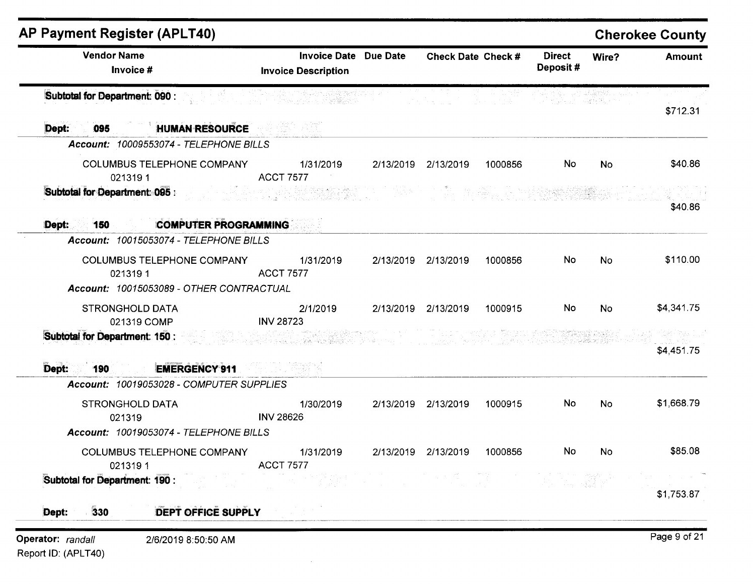| <b>Vendor Name</b><br>Invoice #                                                  | <b>Invoice Date Due Date</b><br><b>Invoice Description</b>                      | Check Date Check #  |         | <b>Direct</b><br>Deposit# | Wire?     | <b>Amount</b> |
|----------------------------------------------------------------------------------|---------------------------------------------------------------------------------|---------------------|---------|---------------------------|-----------|---------------|
| <b>Subtotal for Department: 090:</b>                                             | restriction of <b>signal</b>                                                    |                     |         | 나 100km - 발활할 수           |           | \$712.31      |
| <b>HUMAN RESOURCE</b><br>095<br>Dept:                                            |                                                                                 |                     |         |                           |           |               |
| Account: 10009553074 - TELEPHONE BILLS                                           |                                                                                 |                     |         |                           |           |               |
| <b>COLUMBUS TELEPHONE COMPANY</b><br>0213191                                     | 1/31/2019<br><b>ACCT 7577</b>                                                   | 2/13/2019 2/13/2019 | 1000856 | No                        | <b>No</b> | \$40.86       |
| Subtotal for Department 095 :                                                    |                                                                                 |                     |         |                           |           | \$40.86       |
| <b>COMPUTER PROGRAMMING</b><br>Dept:<br>150                                      |                                                                                 |                     |         |                           |           |               |
| Account: 10015053074 - TELEPHONE BILLS                                           |                                                                                 |                     |         |                           |           |               |
| <b>COLUMBUS TELEPHONE COMPANY</b><br>0213191                                     | 1/31/2019<br><b>ACCT 7577</b>                                                   | 2/13/2019 2/13/2019 | 1000856 | No                        | No        | \$110.00      |
| Account: 10015053089 - OTHER CONTRACTUAL                                         |                                                                                 |                     |         |                           |           |               |
| <b>STRONGHOLD DATA</b><br>021319 COMP                                            | 2/1/2019<br><b>INV 28723</b>                                                    | 2/13/2019 2/13/2019 | 1000915 | No                        | No        | \$4,341.75    |
| Subtotal for Department: 150:                                                    | 3 - 그 정도 남도 30일 있는 그 있을 사고 있습니까? 그것<br>그 전 12 개 전 개 5 : 2012년 2월 3월 12월 12월 20일 |                     |         |                           |           |               |
|                                                                                  |                                                                                 |                     |         |                           |           | \$4,451.75    |
| <b>EMERGENCY 911</b><br>Dept:<br>190<br>Account: 10019053028 - COMPUTER SUPPLIES |                                                                                 |                     |         |                           |           |               |
|                                                                                  |                                                                                 |                     |         |                           |           |               |
| <b>STRONGHOLD DATA</b><br>021319                                                 | 1/30/2019<br><b>INV 28626</b>                                                   | 2/13/2019 2/13/2019 | 1000915 | No                        | No        | \$1,668.79    |
| Account: 10019053074 - TELEPHONE BILLS                                           |                                                                                 |                     |         |                           |           |               |
| COLUMBUS TELEPHONE COMPANY<br>0213191                                            | 1/31/2019<br><b>ACCT 7577</b>                                                   | 2/13/2019 2/13/2019 | 1000856 | No                        | No        | \$85.08       |
| Subtotal for Department: 190 :                                                   |                                                                                 |                     |         |                           |           | \$1,753.87    |
| 330<br>DEPT OFFICE SUPPLY<br>Dept:                                               |                                                                                 |                     |         |                           |           |               |
| Operator: randall<br>2/6/2019 8:50:50 AM                                         |                                                                                 |                     |         |                           |           | Page 9 of 21  |

Report ID: (APLT40)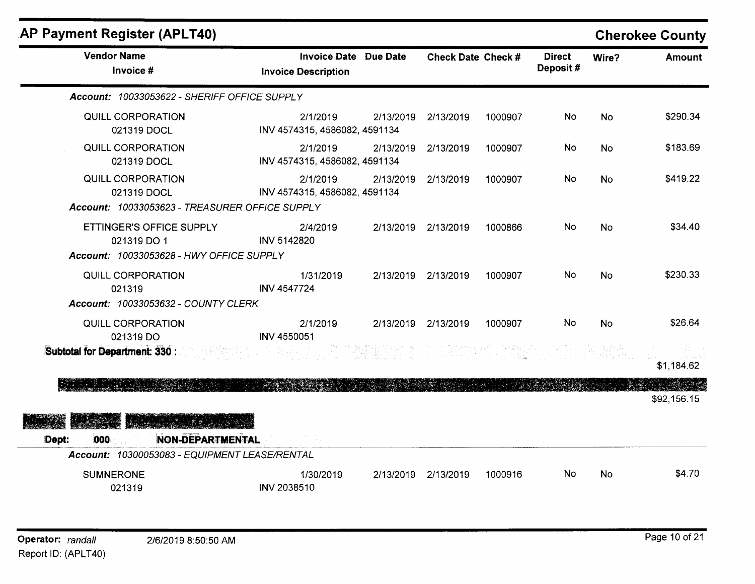| AP Payment Register (APLT40)                                                        |                                                            |           |                           |         |                           |           | <b>Cherokee County</b> |
|-------------------------------------------------------------------------------------|------------------------------------------------------------|-----------|---------------------------|---------|---------------------------|-----------|------------------------|
| <b>Vendor Name</b><br>Invoice #                                                     | <b>Invoice Date Due Date</b><br><b>Invoice Description</b> |           | <b>Check Date Check #</b> |         | <b>Direct</b><br>Deposit# | Wire?     | <b>Amount</b>          |
| Account: 10033053622 - SHERIFF OFFICE SUPPLY                                        |                                                            |           |                           |         |                           |           |                        |
| QUILL CORPORATION<br>021319 DOCL                                                    | 2/1/2019<br>INV 4574315, 4586082, 4591134                  | 2/13/2019 | 2/13/2019                 | 1000907 | No                        | <b>No</b> | \$290.34               |
| QUILL CORPORATION<br>021319 DOCL                                                    | 2/1/2019<br>INV 4574315, 4586082, 4591134                  | 2/13/2019 | 2/13/2019                 | 1000907 | <b>No</b>                 | <b>No</b> | \$183.69               |
| QUILL CORPORATION<br>021319 DOCL<br>Account: 10033053623 - TREASURER OFFICE SUPPLY  | 2/1/2019<br>INV 4574315, 4586082, 4591134                  | 2/13/2019 | 2/13/2019                 | 1000907 | No.                       | No.       | \$419.22               |
| ETTINGER'S OFFICE SUPPLY<br>021319 DO 1<br>Account: 10033053628 - HWY OFFICE SUPPLY | 2/4/2019<br><b>INV 5142820</b>                             |           | 2/13/2019 2/13/2019       | 1000866 | No                        | <b>No</b> | \$34.40                |
| QUILL CORPORATION<br>021319<br>Account: 10033053632 - COUNTY CLERK                  | 1/31/2019<br><b>INV 4547724</b>                            |           | 2/13/2019 2/13/2019       | 1000907 | No                        | No        | \$230.33               |
| QUILL CORPORATION<br>021319 DO                                                      | 2/1/2019<br>INV 4550051                                    | 2/13/2019 | 2/13/2019                 | 1000907 | No                        | <b>No</b> | \$26.64                |
| Subtotal for Department: 330 :                                                      |                                                            |           |                           |         |                           |           | \$1,184.62             |
|                                                                                     |                                                            |           |                           |         |                           |           | \$92,156.15            |
| <b>NON-DEPARTMENTAL</b><br>Dept:<br>000                                             |                                                            |           |                           |         |                           |           |                        |
| Account: 10300053083 - EQUIPMENT LEASE/RENTAL                                       |                                                            |           |                           |         |                           |           |                        |
| <b>SUMNERONE</b><br>021319                                                          | 1/30/2019<br><b>INV 2038510</b>                            | 2/13/2019 | 2/13/2019                 | 1000916 | No                        | <b>No</b> | \$4.70                 |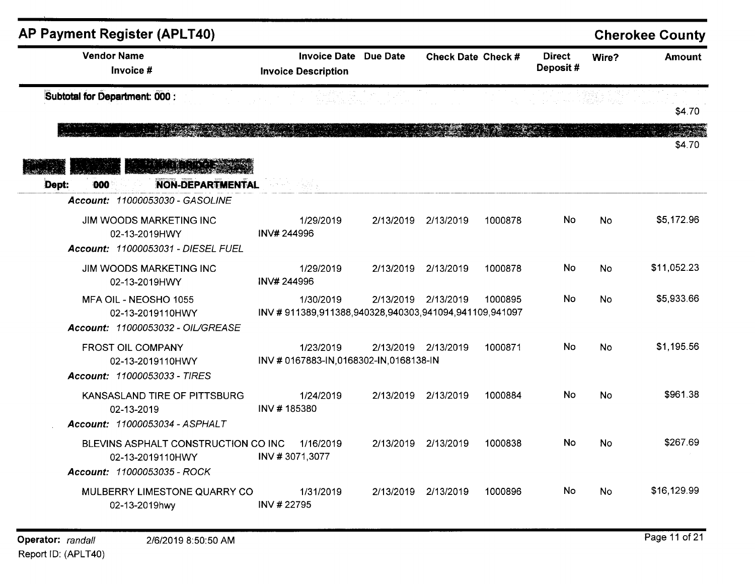| <b>AP Payment Register (APLT40)</b>                                                           |                                                                    |                                  |                     |         |                           |           | <b>Cherokee County</b> |
|-----------------------------------------------------------------------------------------------|--------------------------------------------------------------------|----------------------------------|---------------------|---------|---------------------------|-----------|------------------------|
| <b>Vendor Name</b><br>Invoice #                                                               | Invoice Date Due Date<br><b>Invoice Description</b>                |                                  | Check Date Check #  |         | <b>Direct</b><br>Deposit# | Wire?     | <b>Amount</b>          |
| Subtotal for Department: 000 :                                                                |                                                                    | in 142, Authority Policy (Color) | $\sim 100$          |         |                           |           | \$4.70                 |
|                                                                                               |                                                                    |                                  |                     |         |                           |           | \$4.70                 |
| <b>NON-DEPARTMENTAL</b><br>000<br>Dept:                                                       | mar in the Bank                                                    |                                  |                     |         |                           |           |                        |
| Account: 11000053030 - GASOLINE                                                               |                                                                    |                                  |                     |         |                           |           |                        |
| JIM WOODS MARKETING INC<br>02-13-2019HWY<br>Account: 11000053031 - DIESEL FUEL                | 1/29/2019<br>INV# 244996                                           |                                  | 2/13/2019 2/13/2019 | 1000878 | No.                       | <b>No</b> | \$5,172.96             |
| JIM WOODS MARKETING INC<br>02-13-2019HWY                                                      | 1/29/2019<br>INV# 244996                                           |                                  | 2/13/2019 2/13/2019 | 1000878 | No                        | <b>No</b> | \$11,052.23            |
| MFA OIL - NEOSHO 1055<br>02-13-2019110HWY<br>Account: 11000053032 - OIL/GREASE                | 1/30/2019<br>INV #911389,911388,940328,940303,941094,941109,941097 |                                  | 2/13/2019 2/13/2019 | 1000895 | No.                       | <b>No</b> | \$5,933.66             |
| <b>FROST OIL COMPANY</b><br>02-13-2019110HWY<br>Account: 11000053033 - TIRES                  | 1/23/2019<br>INV # 0167883-IN, 0168302-IN, 0168138-IN              |                                  | 2/13/2019 2/13/2019 | 1000871 | No                        | <b>No</b> | \$1,195.56             |
| KANSASLAND TIRE OF PITTSBURG<br>02-13-2019<br>Account: 11000053034 - ASPHALT                  | 1/24/2019<br>INV #185380                                           |                                  | 2/13/2019 2/13/2019 | 1000884 | No                        | <b>No</b> | \$961.38               |
| BLEVINS ASPHALT CONSTRUCTION CO INC<br>02-13-2019110HWY<br><b>Account: 11000053035 - ROCK</b> | 1/16/2019<br>INV #3071,3077                                        |                                  | 2/13/2019 2/13/2019 | 1000838 | <b>No</b>                 | <b>No</b> | \$267.69               |
| MULBERRY LIMESTONE QUARRY CO<br>02-13-2019hwy                                                 | 1/31/2019<br>INV #22795                                            |                                  | 2/13/2019 2/13/2019 | 1000896 | No                        | <b>No</b> | \$16,129.99            |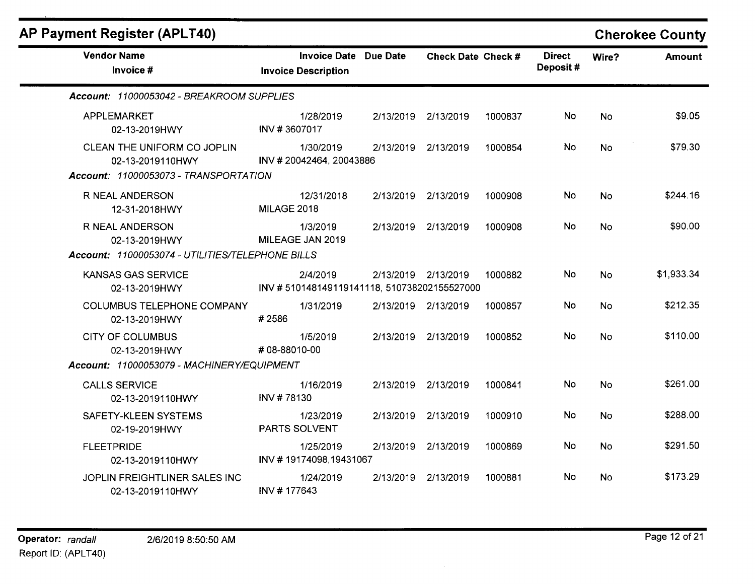| <b>AP Payment Register (APLT40)</b>                |                                                            |           |                     |         |                           |           | <b>Cherokee County</b> |
|----------------------------------------------------|------------------------------------------------------------|-----------|---------------------|---------|---------------------------|-----------|------------------------|
| <b>Vendor Name</b><br>Invoice #                    | <b>Invoice Date Due Date</b><br><b>Invoice Description</b> |           | Check Date Check #  |         | <b>Direct</b><br>Deposit# | Wire?     | <b>Amount</b>          |
| Account: 11000053042 - BREAKROOM SUPPLIES          |                                                            |           |                     |         |                           |           |                        |
| APPLEMARKET<br>02-13-2019HWY                       | 1/28/2019<br>INV #3607017                                  |           | 2/13/2019 2/13/2019 | 1000837 | No                        | <b>No</b> | \$9.05                 |
| CLEAN THE UNIFORM CO JOPLIN<br>02-13-2019110HWY    | 1/30/2019<br>INV #20042464, 20043886                       | 2/13/2019 | 2/13/2019           | 1000854 | No                        | <b>No</b> | \$79.30                |
| Account: 11000053073 - TRANSPORTATION              |                                                            |           |                     |         |                           |           |                        |
| R NEAL ANDERSON<br>12-31-2018HWY                   | 12/31/2018<br>MILAGE 2018                                  | 2/13/2019 | 2/13/2019           | 1000908 | No                        | <b>No</b> | \$244.16               |
| R NEAL ANDERSON<br>02-13-2019HWY                   | 1/3/2019<br>MILEAGE JAN 2019                               |           | 2/13/2019 2/13/2019 | 1000908 | No                        | <b>No</b> | \$90.00                |
| Account: 11000053074 - UTILITIES/TELEPHONE BILLS   |                                                            |           |                     |         |                           |           |                        |
| <b>KANSAS GAS SERVICE</b><br>02-13-2019HWY         | 2/4/2019<br>INV #510148149119141118, 510738202155527000    |           | 2/13/2019 2/13/2019 | 1000882 | No                        | <b>No</b> | \$1,933.34             |
| <b>COLUMBUS TELEPHONE COMPANY</b><br>02-13-2019HWY | 1/31/2019<br>#2586                                         |           | 2/13/2019 2/13/2019 | 1000857 | No                        | <b>No</b> | \$212.35               |
| <b>CITY OF COLUMBUS</b><br>02-13-2019HWY           | 1/5/2019<br>#08-88010-00                                   | 2/13/2019 | 2/13/2019           | 1000852 | No                        | <b>No</b> | \$110.00               |
| Account: 11000053079 - MACHINERY/EQUIPMENT         |                                                            |           |                     |         |                           |           |                        |
| <b>CALLS SERVICE</b><br>02-13-2019110HWY           | 1/16/2019<br>INV #78130                                    | 2/13/2019 | 2/13/2019           | 1000841 | No                        | <b>No</b> | \$261.00               |
| SAFETY-KLEEN SYSTEMS<br>02-19-2019HWY              | 1/23/2019<br>PARTS SOLVENT                                 |           | 2/13/2019 2/13/2019 | 1000910 | No                        | <b>No</b> | \$288.00               |
| <b>FLEETPRIDE</b><br>02-13-2019110HWY              | 1/25/2019<br>INV #19174098,19431067                        | 2/13/2019 | 2/13/2019           | 1000869 | No                        | No        | \$291.50               |
| JOPLIN FREIGHTLINER SALES INC<br>02-13-2019110HWY  | 1/24/2019<br>INV #177643                                   |           | 2/13/2019 2/13/2019 | 1000881 | No                        | <b>No</b> | \$173.29               |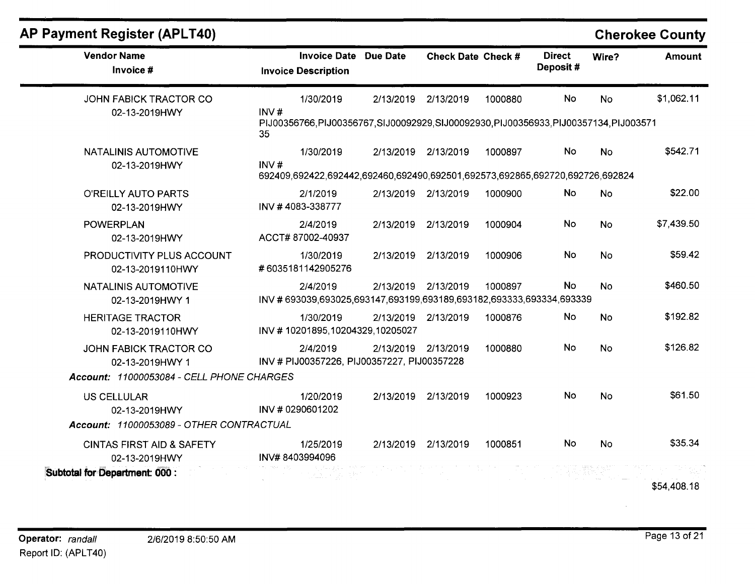| <b>AP Payment Register (APLT40)</b>                   |                                                                                                 |           |                           |         |                           |           | <b>Cherokee County</b> |
|-------------------------------------------------------|-------------------------------------------------------------------------------------------------|-----------|---------------------------|---------|---------------------------|-----------|------------------------|
| <b>Vendor Name</b><br>Invoice #                       | <b>Invoice Date Due Date</b><br><b>Invoice Description</b>                                      |           | <b>Check Date Check #</b> |         | <b>Direct</b><br>Deposit# | Wire?     | <b>Amount</b>          |
| <b>JOHN FABICK TRACTOR CO</b>                         | 1/30/2019                                                                                       | 2/13/2019 | 2/13/2019                 | 1000880 | <b>No</b>                 | <b>No</b> | \$1,062.11             |
| 02-13-2019HWY                                         | INV#<br>PIJ00356766,PIJ00356767,SIJ00092929,SIJ00092930,PIJ00356933,PIJ00357134,PIJ003571<br>35 |           |                           |         |                           |           |                        |
| <b>NATALINIS AUTOMOTIVE</b>                           | 1/30/2019                                                                                       |           | 2/13/2019 2/13/2019       | 1000897 | <b>No</b>                 | <b>No</b> | \$542.71               |
| 02-13-2019HWY                                         | INV#<br>692409,692422,692442,692460,692490,692501,692573,692865,692720,692726,692824            |           |                           |         |                           |           |                        |
| O'REILLY AUTO PARTS<br>02-13-2019HWY                  | 2/1/2019<br>INV #4083-338777                                                                    |           | 2/13/2019 2/13/2019       | 1000900 | No                        | <b>No</b> | \$22.00                |
| <b>POWERPLAN</b><br>02-13-2019HWY                     | 2/4/2019<br>ACCT#87002-40937                                                                    |           | 2/13/2019 2/13/2019       | 1000904 | No.                       | <b>No</b> | \$7,439.50             |
| PRODUCTIVITY PLUS ACCOUNT<br>02-13-2019110HWY         | 1/30/2019<br>#6035181142905276                                                                  | 2/13/2019 | 2/13/2019                 | 1000906 | No                        | <b>No</b> | \$59.42                |
| NATALINIS AUTOMOTIVE<br>02-13-2019HWY 1               | 2/4/2019<br>INV #693039,693025,693147,693199,693189,693182,693333,693334,693339                 | 2/13/2019 | 2/13/2019                 | 1000897 | <b>No</b>                 | <b>No</b> | \$460.50               |
| <b>HERITAGE TRACTOR</b><br>02-13-2019110HWY           | 1/30/2019<br>INV #10201895,10204329,10205027                                                    |           | 2/13/2019 2/13/2019       | 1000876 | No                        | <b>No</b> | \$192.82               |
| JOHN FABICK TRACTOR CO<br>02-13-2019HWY 1             | 2/4/2019<br>INV # PIJ00357226, PIJ00357227, PIJ00357228                                         |           | 2/13/2019 2/13/2019       | 1000880 | No                        | <b>No</b> | \$126.82               |
| Account: 11000053084 - CELL PHONE CHARGES             |                                                                                                 |           |                           |         |                           |           |                        |
| <b>US CELLULAR</b><br>02-13-2019HWY                   | 1/20/2019<br>INV # 0290601202                                                                   | 2/13/2019 | 2/13/2019                 | 1000923 | No.                       | <b>No</b> | \$61.50                |
| Account: 11000053089 - OTHER CONTRACTUAL              |                                                                                                 |           |                           |         |                           |           |                        |
| <b>CINTAS FIRST AID &amp; SAFETY</b><br>02-13-2019HWY | 1/25/2019<br>INV#8403994096                                                                     | 2/13/2019 | 2/13/2019                 | 1000851 | No                        | <b>No</b> | \$35.34                |
| Subtotal for Department: 000 :                        |                                                                                                 |           |                           |         |                           |           | \$54,408.18            |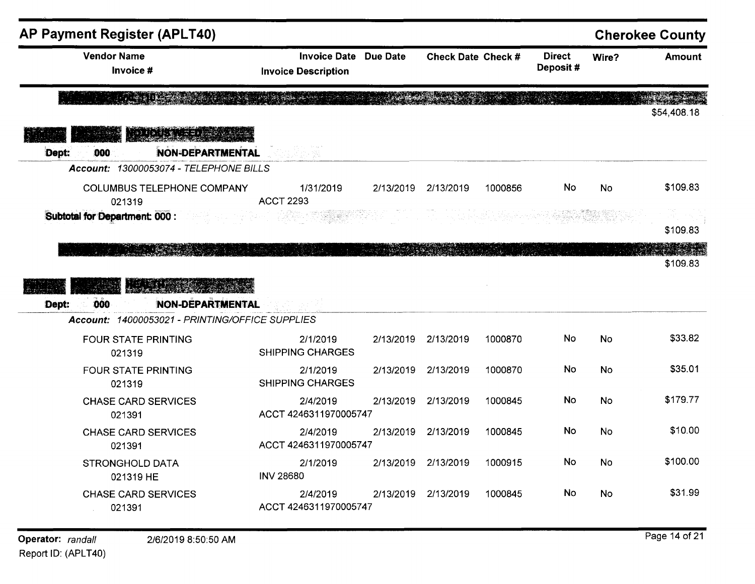| <b>AP Payment Register (APLT40)</b>                            |                                                            |           |                    |         |                           |           |                                            |
|----------------------------------------------------------------|------------------------------------------------------------|-----------|--------------------|---------|---------------------------|-----------|--------------------------------------------|
| <b>Vendor Name</b><br>Invoice #                                | <b>Invoice Date Due Date</b><br><b>Invoice Description</b> |           | Check Date Check # |         | <b>Direct</b><br>Deposit# | Wire?     | Amount                                     |
|                                                                |                                                            |           |                    |         |                           | dan Linda | \$54,408.18                                |
| <b>BAGAILA JEED</b><br><b>NON-DEPARTMENTAL</b><br>Dept:<br>000 |                                                            |           |                    |         |                           |           |                                            |
| Account: 13000053074 - TELEPHONE BILLS                         |                                                            |           |                    |         |                           |           |                                            |
| <b>COLUMBUS TELEPHONE COMPANY</b><br>021319                    | 1/31/2019<br><b>ACCT 2293</b>                              | 2/13/2019 | 2/13/2019          | 1000856 | <b>No</b>                 | <b>No</b> | \$109.83                                   |
| Subtotal for Department: 000 :                                 |                                                            |           |                    |         |                           |           | \$109.83                                   |
| <b>ARTICLE AND REAL PROPERTY</b>                               | Politika (186                                              |           |                    |         |                           |           |                                            |
| <b>ALLISTA</b><br><b>NON-DEPARTMENTAL</b><br>000<br>Dept:      |                                                            |           |                    |         |                           |           |                                            |
| Account: 14000053021 - PRINTING/OFFICE SUPPLIES                |                                                            |           |                    |         |                           |           | \$109.83                                   |
| <b>FOUR STATE PRINTING</b><br>021319                           | 2/1/2019<br><b>SHIPPING CHARGES</b>                        | 2/13/2019 | 2/13/2019          | 1000870 | No                        | <b>No</b> | \$33.82                                    |
| <b>FOUR STATE PRINTING</b><br>021319                           | 2/1/2019<br><b>SHIPPING CHARGES</b>                        | 2/13/2019 | 2/13/2019          | 1000870 | No                        | <b>No</b> |                                            |
| <b>CHASE CARD SERVICES</b><br>021391                           | 2/4/2019<br>ACCT 4246311970005747                          | 2/13/2019 | 2/13/2019          | 1000845 | No                        | <b>No</b> |                                            |
| <b>CHASE CARD SERVICES</b><br>021391                           | 2/4/2019<br>ACCT 4246311970005747                          | 2/13/2019 | 2/13/2019          | 1000845 | No                        | No        |                                            |
| <b>STRONGHOLD DATA</b><br>021319 HE                            | 2/1/2019<br><b>INV 28680</b>                               | 2/13/2019 | 2/13/2019          | 1000915 | No                        | <b>No</b> | \$35.01<br>\$179.77<br>\$10.00<br>\$100.00 |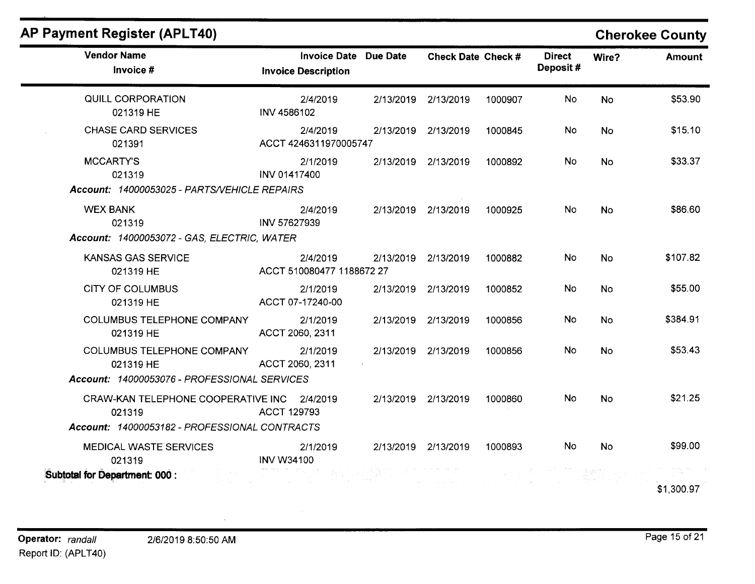| $\cdots$                                                                                       |                                                     |           |                     |         |                           | onorono   |  |
|------------------------------------------------------------------------------------------------|-----------------------------------------------------|-----------|---------------------|---------|---------------------------|-----------|--|
| <b>Vendor Name</b><br>Invoice #                                                                | Invoice Date Due Date<br><b>Invoice Description</b> |           | Check Date Check #  |         | <b>Direct</b><br>Deposit# | Wire?     |  |
| QUILL CORPORATION<br>021319 HE                                                                 | 2/4/2019<br><b>INV 4586102</b>                      | 2/13/2019 | 2/13/2019           | 1000907 | <b>No</b>                 | <b>No</b> |  |
| <b>CHASE CARD SERVICES</b><br>021391                                                           | 2/4/2019<br>ACCT 4246311970005747                   |           | 2/13/2019 2/13/2019 | 1000845 | No                        | <b>No</b> |  |
| <b>MCCARTY'S</b><br>021319<br>Account: 14000053025 - PARTS/VEHICLE REPAIRS                     | 2/1/2019<br><b>INV 01417400</b>                     |           | 2/13/2019 2/13/2019 | 1000892 | No.                       | <b>No</b> |  |
| <b>WEX BANK</b><br>021319<br>Account: 14000053072 - GAS, ELECTRIC, WATER                       | 2/4/2019<br>INV 57627939                            | 2/13/2019 | 2/13/2019           | 1000925 | <b>No</b>                 | <b>No</b> |  |
| <b>KANSAS GAS SERVICE</b><br>021319 HE                                                         | 2/4/2019<br>ACCT 510080477 1188672 27               | 2/13/2019 | 2/13/2019           | 1000882 | No.                       | <b>No</b> |  |
| <b>CITY OF COLUMBUS</b><br>021319 HE                                                           | 2/1/2019<br>ACCT 07-17240-00                        | 2/13/2019 | 2/13/2019           | 1000852 | No.                       | No        |  |
| <b>COLUMBUS TELEPHONE COMPANY</b><br>021319 HE                                                 | 2/1/2019<br>ACCT 2060, 2311                         | 2/13/2019 | 2/13/2019           | 1000856 | <b>No</b>                 | No        |  |
| <b>COLUMBUS TELEPHONE COMPANY</b><br>021319 HE<br>Account: 14000053076 - PROFESSIONAL SERVICES | 2/1/2019<br>ACCT 2060, 2311                         | 2/13/2019 | 2/13/2019           | 1000856 | No.                       | <b>No</b> |  |
| CRAW-KAN TELEPHONE COOPERATIVE INC 2/4/2019<br>021319                                          | <b>ACCT 129793</b>                                  | 2/13/2019 | 2/13/2019           | 1000860 | No.                       | No        |  |
| Account: 14000053182 - PROFESSIONAL CONTRACTS                                                  |                                                     |           |                     |         |                           |           |  |

2/1/2019

INV W34100

#### **.AP Payment Register (APLT40)**

# **Cherokee County**

**Amount** 

\$53.90

 $$15.10$ 

\$33.37

\$86.60

\$107.82

\$55.00

\$384.91

\$53.43

 $$21.25$ 

\$1,300.97

2/13/2019 2/13/2019 1000893 No No \$99.00

马克兰

MEDICAL WASTE SERVICES

021319

**Subtotal for Department: 000** :

Page 15 of 21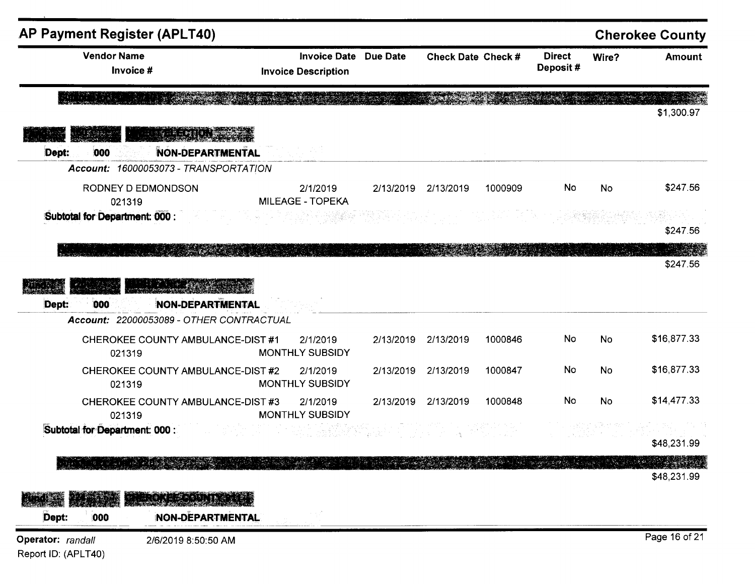| AP Payment Register (APLT40)                                                                                             |                                                   |                              |                     |         |                           |           | <b>Cherokee County</b> |
|--------------------------------------------------------------------------------------------------------------------------|---------------------------------------------------|------------------------------|---------------------|---------|---------------------------|-----------|------------------------|
| <b>Vendor Name</b><br>Invoice #                                                                                          | <b>Invoice Date</b><br><b>Invoice Description</b> | Due Date                     | Check Date Check #  |         | <b>Direct</b><br>Deposit# | Wire?     | <b>Amount</b>          |
| Randa (m. 1955)<br>Romana (m. 1955)                                                                                      |                                                   |                              |                     |         |                           |           | \$1,300.97             |
| <u> E LA SANTA N</u><br><b>NON-DEPARTMENTAL</b><br>Dept:<br>000                                                          |                                                   |                              |                     |         |                           |           |                        |
| Account: 16000053073 - TRANSPORTATION                                                                                    |                                                   |                              |                     |         |                           |           |                        |
| RODNEY D EDMONDSON<br>021319                                                                                             | 2/1/2019<br><b>MILEAGE - TOPEKA</b>               |                              | 2/13/2019 2/13/2019 | 1000909 | No                        | <b>No</b> | \$247.56               |
| Subtotal for Department: 000 :                                                                                           |                                                   |                              |                     |         |                           |           | \$247.56               |
|                                                                                                                          |                                                   | Deskisser Grootschaptschapts |                     |         |                           |           | \$247.56               |
| <b>NON-DEPARTMENTAL</b><br>000<br>Dept:<br>Account: 22000053089 - OTHER CONTRACTUAL<br>CHEROKEE COUNTY AMBULANCE-DIST #1 | 2/1/2019                                          | 2/13/2019                    | 2/13/2019           | 1000846 | No                        | <b>No</b> | \$16,877.33            |
| 021319                                                                                                                   | <b>MONTHLY SUBSIDY</b>                            |                              |                     |         |                           |           |                        |
| CHEROKEE COUNTY AMBULANCE-DIST #2<br>021319                                                                              | 2/1/2019<br><b>MONTHLY SUBSIDY</b>                | 2/13/2019                    | 2/13/2019           | 1000847 | No                        | No        | \$16,877.33            |
| CHEROKEE COUNTY AMBULANCE-DIST #3<br>021319                                                                              | 2/1/2019<br><b>MONTHLY SUBSIDY</b>                |                              | 2/13/2019 2/13/2019 | 1000848 | No                        | <b>No</b> | \$14,477.33            |
| Subtotal for Department: 000 :                                                                                           |                                                   |                              |                     |         |                           |           | \$48,231.99            |
| THE STREET STREET                                                                                                        |                                                   |                              |                     |         | <b>SALE OF OCCUPANT</b>   |           | 地球游<br>\$48,231.99     |
| <b>ERREE RAINE</b><br><b>RATIONAL</b>                                                                                    |                                                   |                              |                     |         |                           |           |                        |
| Dept:<br><b>NON-DEPARTMENTAL</b><br>000                                                                                  |                                                   |                              |                     |         |                           |           |                        |
| Operator: randall<br>2/6/2019 8:50:50 AM<br>Report ID: (APLT40)                                                          |                                                   |                              |                     |         |                           |           | Page 16 of 21          |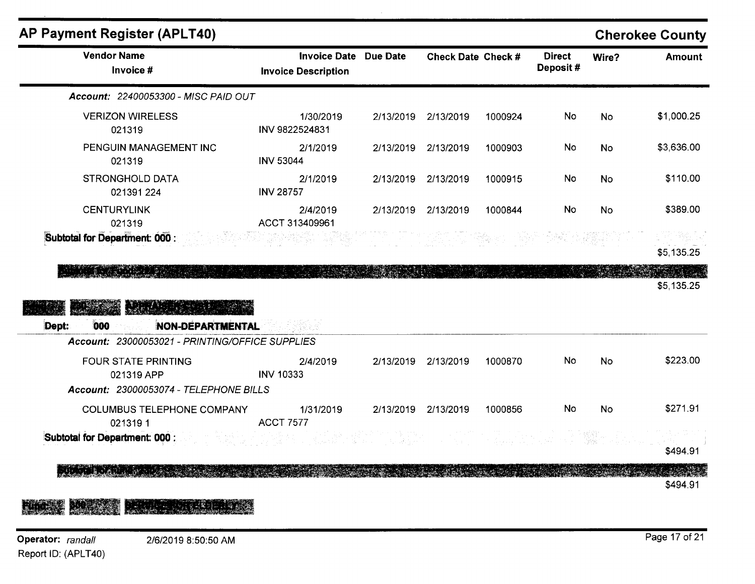| <b>Vendor Name</b><br>Invoice #                 | Invoice Date Due Date<br><b>Invoice Description</b> | <b>Check Date Check #</b> |         | <b>Direct</b><br>Deposit# | Wire?     | <b>Amount</b>          |
|-------------------------------------------------|-----------------------------------------------------|---------------------------|---------|---------------------------|-----------|------------------------|
| Account: 22400053300 - MISC PAID OUT            |                                                     |                           |         |                           |           |                        |
| <b>VERIZON WIRELESS</b><br>021319               | 1/30/2019<br>INV 9822524831                         | 2/13/2019 2/13/2019       | 1000924 | No                        | <b>No</b> | \$1,000.25             |
| PENGUIN MANAGEMENT INC<br>021319                | 2/1/2019<br><b>INV 53044</b>                        | 2/13/2019 2/13/2019       | 1000903 | <b>No</b>                 | <b>No</b> | \$3,636.00             |
| <b>STRONGHOLD DATA</b><br>021391 224            | 2/1/2019<br><b>INV 28757</b>                        | 2/13/2019 2/13/2019       | 1000915 | No                        | <b>No</b> | \$110.00               |
| <b>CENTURYLINK</b><br>021319                    | 2/4/2019<br>ACCT 313409961                          | 2/13/2019 2/13/2019       | 1000844 | <b>No</b>                 | <b>No</b> | \$389.00               |
| Subtotal for Department: 000 :                  |                                                     |                           |         |                           |           | 그 전 달라요.<br>\$5,135.25 |
|                                                 |                                                     |                           |         |                           |           |                        |
|                                                 |                                                     |                           |         |                           |           |                        |
|                                                 |                                                     |                           |         |                           |           |                        |
| 000<br><b>NON-DEPARTMENTAL</b><br>Dept:         |                                                     |                           |         |                           |           | \$5,135.25             |
| Account: 23000053021 - PRINTING/OFFICE SUPPLIES |                                                     |                           |         |                           |           |                        |
| <b>FOUR STATE PRINTING</b><br>021319 APP        | 2/4/2019<br><b>INV 10333</b>                        | 2/13/2019 2/13/2019       | 1000870 | <b>No</b>                 | <b>No</b> | \$223.00               |
| Account: 23000053074 - TELEPHONE BILLS          |                                                     |                           |         |                           |           |                        |
| <b>COLUMBUS TELEPHONE COMPANY</b><br>0213191    | 1/31/2019<br><b>ACCT 7577</b>                       | 2/13/2019 2/13/2019       | 1000856 | <b>No</b>                 | <b>No</b> | \$271.91               |
| Subtotal for Department: 000 :                  | 中国医学科                                               |                           |         |                           |           |                        |
|                                                 |                                                     |                           |         |                           |           | \$494.91               |

#### ROD HA GIRANDA **ALLES Address Committee**

Operator: randall Report ID: (APLT40)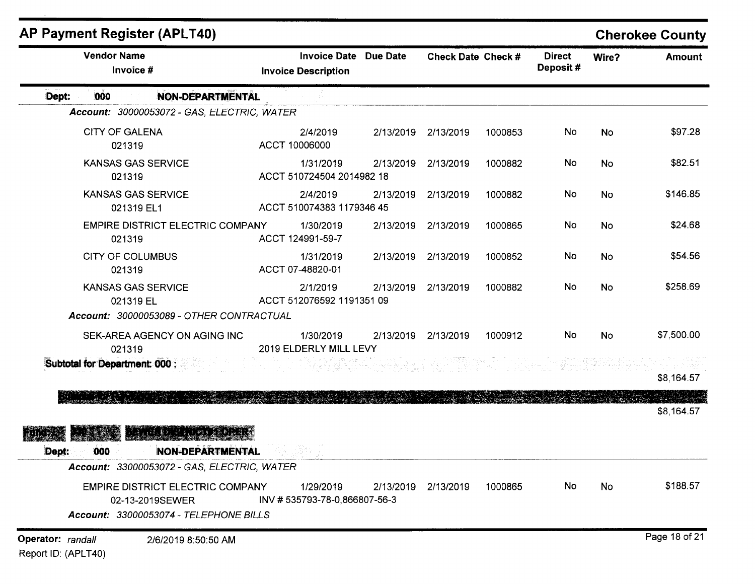| <b>AP Payment Register (APLT40)</b>                                                                              |                                                            |           |                    |         |                           |           | <b>Cherokee County</b> |
|------------------------------------------------------------------------------------------------------------------|------------------------------------------------------------|-----------|--------------------|---------|---------------------------|-----------|------------------------|
| <b>Vendor Name</b><br>Invoice #                                                                                  | <b>Invoice Date Due Date</b><br><b>Invoice Description</b> |           | Check Date Check # |         | <b>Direct</b><br>Deposit# | Wire?     | <b>Amount</b>          |
| 000<br><b>NON-DEPARTMENTAL</b><br>Dept:                                                                          |                                                            |           |                    |         |                           |           |                        |
| Account: 30000053072 - GAS, ELECTRIC, WATER                                                                      |                                                            |           |                    |         |                           |           |                        |
| <b>CITY OF GALENA</b><br>021319                                                                                  | 2/4/2019<br>ACCT 10006000                                  | 2/13/2019 | 2/13/2019          | 1000853 | No                        | <b>No</b> | \$97.28                |
| <b>KANSAS GAS SERVICE</b><br>021319                                                                              | 1/31/2019<br>ACCT 510724504 2014982 18                     | 2/13/2019 | 2/13/2019          | 1000882 | No                        | <b>No</b> | \$82.51                |
| <b>KANSAS GAS SERVICE</b><br>021319 EL1                                                                          | 2/4/2019<br>ACCT 510074383 1179346 45                      | 2/13/2019 | 2/13/2019          | 1000882 | No                        | No        | \$146.85               |
| <b>EMPIRE DISTRICT ELECTRIC COMPANY</b><br>021319                                                                | 1/30/2019<br>ACCT 124991-59-7                              | 2/13/2019 | 2/13/2019          | 1000865 | No                        | <b>No</b> | \$24.68                |
| <b>CITY OF COLUMBUS</b><br>021319                                                                                | 1/31/2019<br>ACCT 07-48820-01                              | 2/13/2019 | 2/13/2019          | 1000852 | <b>No</b>                 | No        | \$54.56                |
| <b>KANSAS GAS SERVICE</b><br>021319 EL                                                                           | 2/1/2019<br>ACCT 512076592 1191351 09                      | 2/13/2019 | 2/13/2019          | 1000882 | <b>No</b>                 | <b>No</b> | \$258.69               |
| Account: 30000053089 - OTHER CONTRACTUAL                                                                         |                                                            |           |                    |         |                           |           |                        |
| SEK-AREA AGENCY ON AGING INC<br>021319                                                                           | 1/30/2019<br>2019 ELDERLY MILL LEVY                        | 2/13/2019 | 2/13/2019          | 1000912 | No.                       | <b>No</b> | \$7,500.00             |
| Subtotal for Department: 000 :                                                                                   |                                                            |           |                    |         |                           |           | \$8,164.57             |
| AT A THE PART AND THE                                                                                            |                                                            |           |                    |         |                           |           | \$8,164.57             |
| al kata aligrid<br><b>NON-DEPARTMENTAL</b><br>000<br>Dept:<br><b>Account: 33000053072 - GAS, ELECTRIC, WATER</b> |                                                            |           |                    |         |                           |           |                        |
| <b>EMPIRE DISTRICT ELECTRIC COMPANY</b><br>02-13-2019SEWER<br>Account: 33000053074 - TELEPHONE BILLS             | 1/29/2019<br>INV #535793-78-0,866807-56-3                  | 2/13/2019 | 2/13/2019          | 1000865 | No                        | No        | \$188.57               |
| Operator: randall<br>2/6/2019 8:50:50 AM                                                                         |                                                            |           |                    |         |                           |           | Page 18 of 21          |

Report ID: (APLT40)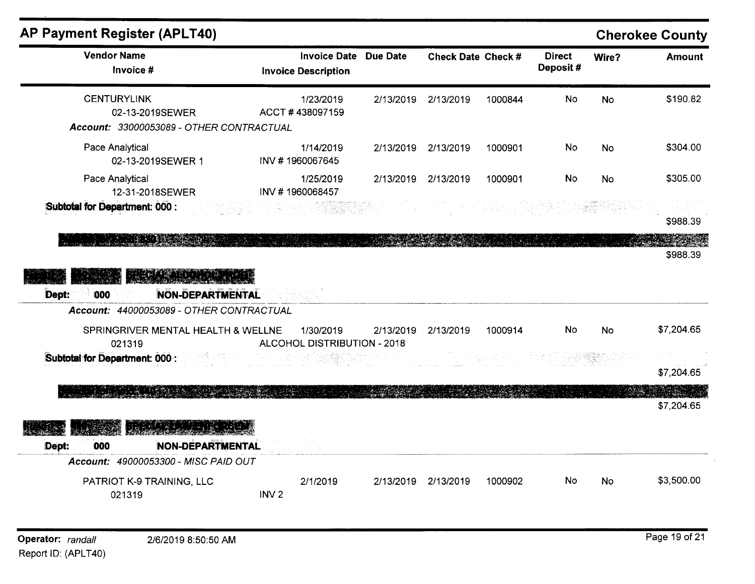| <b>AP Payment Register (APLT40)</b>                                                                |                                                   |           |                                                       |                      |                           |           | <b>Cherokee County</b>   |
|----------------------------------------------------------------------------------------------------|---------------------------------------------------|-----------|-------------------------------------------------------|----------------------|---------------------------|-----------|--------------------------|
| <b>Vendor Name</b><br>Invoice #                                                                    | <b>Invoice Date</b><br><b>Invoice Description</b> | Due Date  | Check Date Check #                                    |                      | <b>Direct</b><br>Deposit# | Wire?     | <b>Amount</b>            |
| <b>CENTURYLINK</b><br>02-13-2019SEWER<br>Account: 33000053089 - OTHER CONTRACTUAL                  | 1/23/2019<br>ACCT #438097159                      | 2/13/2019 | 2/13/2019                                             | 1000844              | No                        | <b>No</b> | \$190.82                 |
| Pace Analytical<br>02-13-2019SEWER 1                                                               | 1/14/2019<br>INV #1960067645                      | 2/13/2019 | 2/13/2019                                             | 1000901              | No                        | No        | \$304.00                 |
| Pace Analytical<br>12-31-2018SEWER                                                                 | 1/25/2019<br>INV #1960068457                      | 2/13/2019 | 2/13/2019                                             | 1000901              | <b>No</b>                 | No        | \$305.00                 |
| Subtotal for Department: 000 :                                                                     |                                                   |           |                                                       | [1.2] [guston] 오스 방송 |                           |           | \$988.39                 |
| Dept:<br><b>NON-DEPARTMENTAL</b><br>000<br>Account: 44000053089 - OTHER CONTRACTUAL                |                                                   |           |                                                       |                      |                           |           | <b>STAND</b><br>\$988.39 |
| SPRINGRIVER MENTAL HEALTH & WELLNE<br>021319                                                       | 1/30/2019<br>ALCOHOL DISTRIBUTION - 2018          | 2/13/2019 | 2/13/2019                                             | 1000914              | No                        | <b>No</b> | \$7,204.65               |
| Subtotal for Department: 000 :                                                                     |                                                   |           | 30 - Marie Stefan (1941)<br>2001 - Carl Stefan (1941) |                      |                           |           | \$7,204.65               |
|                                                                                                    |                                                   |           |                                                       |                      |                           |           | \$7,204.65               |
| ERATIN ELLER IS<br><b>NON-DEPARTMENTAL</b><br>000<br>Dept:<br>Account: 49000053300 - MISC PAID OUT |                                                   |           |                                                       |                      |                           |           |                          |
| PATRIOT K-9 TRAINING, LLC<br>021319                                                                | 2/1/2019<br>INV <sub>2</sub>                      | 2/13/2019 | 2/13/2019                                             | 1000902              | No                        | No        | \$3,500.00               |

 $\sim$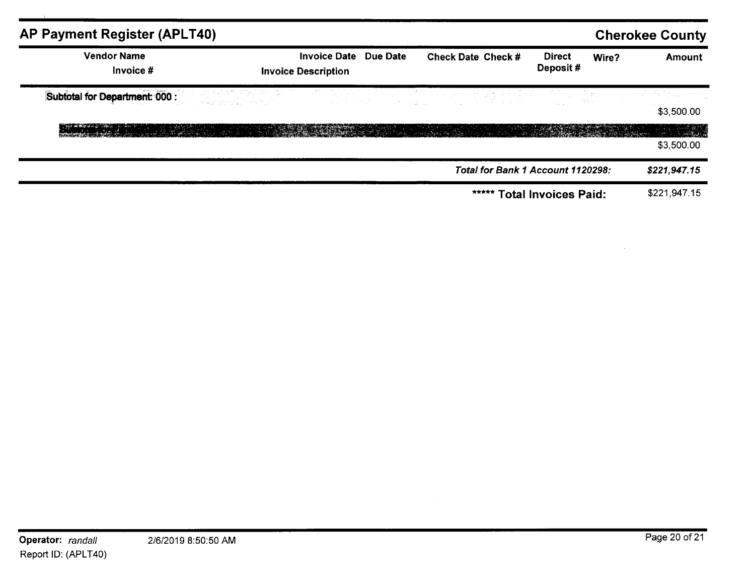| AP Payment Register (APLT40)                                                                                                                                                                                                        |                                                            |                                   |                             |       | <b>Cherokee County</b> |
|-------------------------------------------------------------------------------------------------------------------------------------------------------------------------------------------------------------------------------------|------------------------------------------------------------|-----------------------------------|-----------------------------|-------|------------------------|
| <b>Vendor Name</b><br>Invoice #                                                                                                                                                                                                     | <b>Invoice Date Due Date</b><br><b>Invoice Description</b> | <b>Check Date Check #</b>         | <b>Direct</b><br>Deposit#   | Wire? | Amount                 |
| <b>Subtotal for Department: 000 :</b> And a set of the control of the control of the control of the control of the control of the control of the control of the control of the control of the control of the control of the control |                                                            |                                   |                             |       | \$3,500.00             |
|                                                                                                                                                                                                                                     |                                                            |                                   |                             |       | \$3,500.00             |
|                                                                                                                                                                                                                                     |                                                            | Total for Bank 1 Account 1120298: |                             |       | \$221,947.15           |
|                                                                                                                                                                                                                                     |                                                            | *****                             | <b>Total Invoices Paid:</b> |       | \$221,947.15           |

 $\sim$   $\sim$